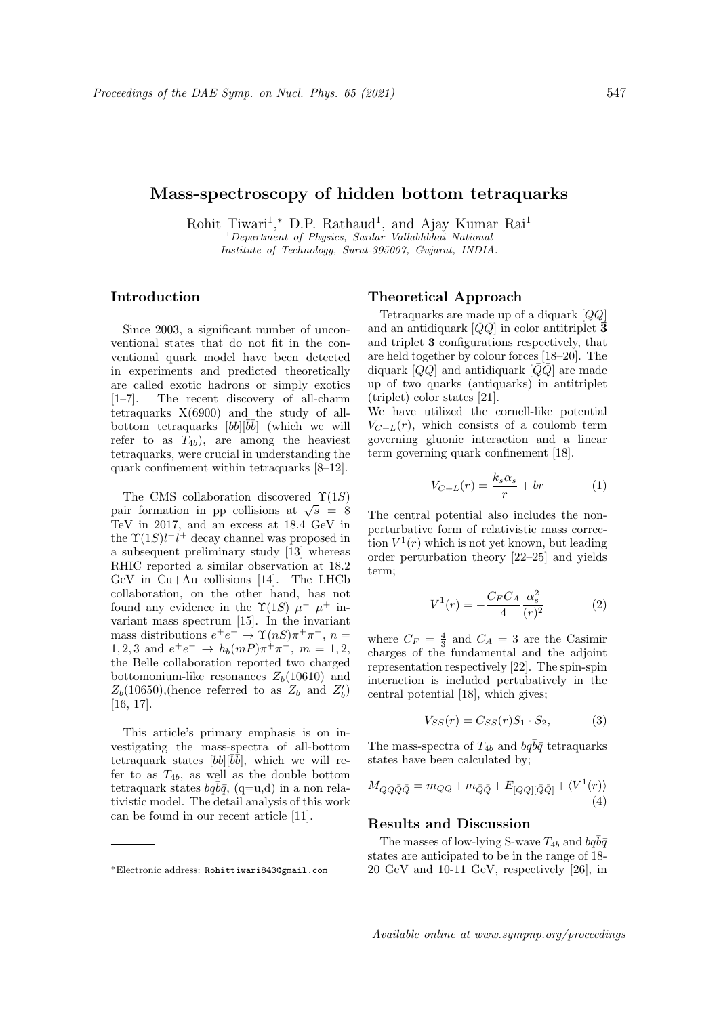# Mass-spectroscopy of hidden bottom tetraquarks

Rohit Tiwari<sup>1</sup>,\* D.P. Rathaud<sup>1</sup>, and Ajay Kumar Rai<sup>1</sup>  $1$ Department of Physics, Sardar Vallabhbhai National Institute of Technology, Surat-395007, Gujarat, INDIA.

### Introduction

Since 2003, a significant number of unconventional states that do not fit in the conventional quark model have been detected in experiments and predicted theoretically are called exotic hadrons or simply exotics [1–7]. The recent discovery of all-charm tetraquarks X(6900) and the study of allbottom tetraquarks  $[bb][\bar{b}\bar{b}]$  (which we will refer to as  $T_{4b}$ , are among the heaviest tetraquarks, were crucial in understanding the quark confinement within tetraquarks [8–12].

The CMS collaboration discovered  $\Upsilon(1S)$ The CMS conaboration discovered  $1(13)$ <br>pair formation in pp collisions at  $\sqrt{s} = 8$ TeV in 2017, and an excess at 18.4 GeV in the  $\Upsilon(1S)l-l^+$  decay channel was proposed in a subsequent preliminary study [13] whereas RHIC reported a similar observation at 18.2 GeV in Cu+Au collisions [14]. The LHCb collaboration, on the other hand, has not found any evidence in the  $\Upsilon(1S)$   $\mu^ \mu^+$  invariant mass spectrum [15]. In the invariant mass distributions  $e^+e^- \rightarrow \Upsilon(nS)\pi^+\pi^-, n =$ 1, 2, 3 and  $e^+e^- \to h_b(mP)\pi^+\pi^-, m = 1, 2,$ the Belle collaboration reported two charged bottomonium-like resonances  $Z_b(10610)$  and  $Z_b(10650)$ , (hence referred to as  $Z_b$  and  $Z'_b$ ) [16, 17].

This article's primary emphasis is on investigating the mass-spectra of all-bottom tetraquark states  $[bb][\bar{b}\bar{b}]$ , which we will refer to as  $T_{4b}$ , as well as the double bottom tetraquark states  $bq\overline{b}\overline{q}$ , (q=u,d) in a non relativistic model. The detail analysis of this work can be found in our recent article [11].

#### Theoretical Approach

Tetraquarks are made up of a diquark [QQ] and an antidiquark  $[\bar{Q}\bar{Q}]$  in color antitriplet  $\bar{3}$ and triplet 3 configurations respectively, that are held together by colour forces [18–20]. The diquark  $[QQ]$  and antidiquark  $[\bar{Q}\bar{Q}]$  are made up of two quarks (antiquarks) in antitriplet (triplet) color states [21].

We have utilized the cornell-like potential  $V_{C+L}(r)$ , which consists of a coulomb term governing gluonic interaction and a linear term governing quark confinement [18].

$$
V_{C+L}(r) = \frac{k_s \alpha_s}{r} + br \tag{1}
$$

The central potential also includes the nonperturbative form of relativistic mass correction  $V^1(r)$  which is not yet known, but leading order perturbation theory [22–25] and yields term;

$$
V^{1}(r) = -\frac{C_{F}C_{A}}{4} \frac{\alpha_{s}^{2}}{(r)^{2}}
$$
 (2)

where  $C_F = \frac{4}{3}$  and  $C_A = 3$  are the Casimir charges of the fundamental and the adjoint representation respectively [22]. The spin-spin interaction is included pertubatively in the central potential [18], which gives;

$$
V_{SS}(r) = C_{SS}(r)S_1 \cdot S_2,\tag{3}
$$

The mass-spectra of  $T_{4b}$  and  $bq\bar{b}\bar{q}$  tetraquarks states have been calculated by;

$$
M_{QQ\bar{Q}\bar{Q}} = m_{QQ} + m_{\bar{Q}\bar{Q}} + E_{[QQ][\bar{Q}\bar{Q}]} + \langle V^1(r) \rangle
$$
\n(4)

## Results and Discussion

The masses of low-lying S-wave  $T_{4b}$  and  $bq\bar{b}\bar{q}$ states are anticipated to be in the range of 18- 20 GeV and 10-11 GeV, respectively [26], in

<sup>∗</sup>Electronic address: Rohittiwari843@gmail.com